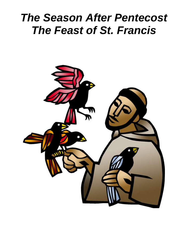# *The Season After Pentecost The Feast of St. Francis*

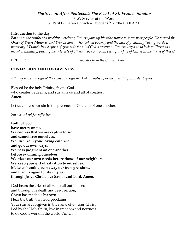### *The Season After Pentecost: The Feast of St. Francis Sunday* ELW Service of the Word St. Paul Lutheran Church—October 4th, 2020– 10:00 A.M.

#### **Introduction to the day**

*Born into the family of a wealthy merchant, Francis gave up his inheritance to serve poor people. He formed the Order of Friars Minor (called Franciscans), who took on poverty and the task of preaching "using words if necessary." Francis had a spirit of gratitude for all of God's creation. Francis urges us to look to Christ as a model of humility, putting the interests of others above our own, seeing the face of Christ in the "least of these."*

**PRELUDE** *Favorites from the Church Year*

### **CONFESSION AND FORGIVENESS**

*All may make the sign of the cross, the sign marked at baptism, as the presiding minister begins*.

Blessed be the holy Trinity,  $+$  one God, who creates, redeems, and sustains us and all of creation. **Amen.**

Let us confess our sin in the presence of God and of one another.

*Silence is kept for reflection.*

Faithful God, **have mercy on us. We confess that we are captive to sin and cannot free ourselves. We turn from your loving embrace and go our own ways. We pass judgment on one another before examining ourselves. We place our own needs before those of our neighbors. We keep your gift of salvation to ourselves. Make us humble, cast away our transgressions, and turn us again to life in you through Jesus Christ, our Savior and Lord. Amen.**

God hears the cries of all who call out in need, and through his death and resurrection, Christ has made us his own. Hear the truth that God proclaims: Your sins are forgiven in the name of  $\pm$  Jesus Christ. Led by the Holy Spirit, live in freedom and newness to do God's work in the world. **Amen.**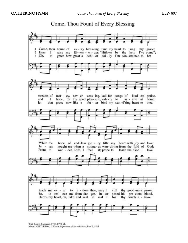# Come, Thou Fount of Every Blessing



Text: Robert Robinson, 1735-1790, alt. Music: NETTLETON, J. Wyeth, Repository of Sacred Music, Part II, 1813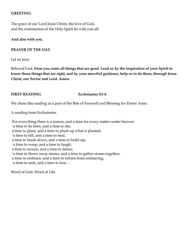#### **GREETING**

The grace of our Lord Jesus Christ, the love of God, and the communion of the Holy Spirit be with you all.

#### **And also with you.**

#### **PRAYER OF THE DAY**

Let us pray.

Beloved God, **from you come all things that are good. Lead us by the inspiration of your Spirit to know those things that are right, and by your merciful guidance, help us to do them, through Jesus Christ, our Savior and Lord. Amen.**

#### **FIRST READING Ecclesiastes 3:1-6**

We chose this reading as a part of the Rite of Farewell and Blessing for Pastor Anne.

A reading from Ecclesiastes.

<sup>1</sup>For everything there is a season, and a time for every matter under heaven: <sup>2</sup>a time to be born, and a time to die; a time to plant, and a time to pluck up what is planted; <sup>3</sup>a time to kill, and a time to heal; a time to break down, and a time to build up;  $4a$  time to weep, and a time to laugh; a time to mourn, and a time to dance;  $5a$  time to throw away stones, and a time to gather stones together; a time to embrace, and a time to refrain from embracing;  $6a$  time to seek, and a time to lose...

Word of God, Word of Life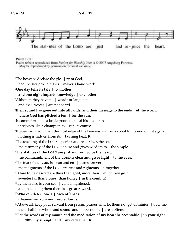

Psalm 19:8

Psalm refrain reproduced from Psalter for Worship Year A C 2007 Augsburg Fortress. May be reproduced by permission for local use only.

<sup>1</sup>The heavens declare the glo-  $\mid$  ry of God,

and the sky proclaims its | maker's handiwork.

<sup>2</sup>**One day tells its tale | to another,**

#### **and one night imparts knowledge | to another.**

<sup>3</sup>Although they have no | words or language,

and their voices | are not heard,

- <sup>4</sup>**their sound has gone out into all lands, and their message to the ends | of the world, where God has pitched a tent | for the sun.**
- <sup>5</sup>It comes forth like a bridegroom out | of his chamber; it rejoices like a champion to | run its course.
- $6$ It goes forth from the uttermost edge of the heavens and runs about to the end of  $\parallel$  it again; nothing is hidden from its | burning heat. **R**
- <sup>7</sup>The teaching of the LORD is perfect and re- | vives the soul;

the testimony of the LORD is sure and gives wisdom to | the simple.

- <sup>8</sup>**The statutes of the LORD are just and re- | joice the heart;**
- **the commandment of the LORD is clear and gives light | to the eyes.**
- <sup>9</sup>The fear of the LORD is clean and en- | dures forever;

the judgments of the LORD are true and righteous | altogether.

- <sup>10</sup>**More to be desired are they than gold, more than | much fine gold, sweeter far than honey, than honey | in the comb. R**
- $11$ By them also is your ser-  $|$  vant enlightened,
	- and in keeping them there is | great reward.
- <sup>12</sup>**Who can detect one's | own offenses?**
	- **Cleanse me from my | secret faults.**
- <sup>13</sup>Above all, keep your servant from presumptuous sins; let them not get dominion  $\vert$  over me; then shall I be whole and sound, and innocent of a  $|$  great offense.
- <sup>14</sup>**Let the words of my mouth and the meditation of my heart be acceptable | in your sight, O LORD, my strength and | my redeemer. R**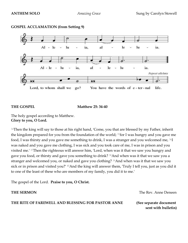

### **GOSPEL ACCLAMATION (from Setting 9)**

THE GOSPEL Matthew 25: 34-40

The holy gospel according to Matthew. **Glory to you, O Lord.**

 $34$ Then the king will say to those at his right hand, 'Come, you that are blessed by my Father, inherit the kingdom prepared for you from the foundation of the world;  $35$  for I was hungry and you gave me food, I was thirsty and you gave me something to drink, I was a stranger and you welcomed me, 36I was naked and you gave me clothing, I was sick and you took care of me, I was in prison and you visited me.' 37Then the righteous will answer him, 'Lord, when was it that we saw you hungry and gave you food, or thirsty and gave you something to drink? 38And when was it that we saw you a stranger and welcomed you, or naked and gave you clothing? 39And when was it that we saw you sick or in prison and visited you?' <sup>40</sup>And the king will answer them, 'Truly I tell you, just as you did it to one of the least of these who are members of my family, you did it to me.'

The gospel of the Lord. **Praise to you, O Christ.**

**THE RITE OF FAREWELL AND BLESSING FOR PASTOR ANNE (See separate document** 

**THE SERMON** *THE SERMON* 

 **sent with bulletin)**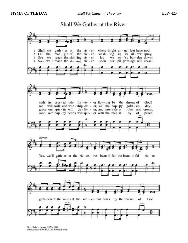



Text: Robert Lowry, 1826-1899<br>Music: HANSON PLACE, Robert Lowry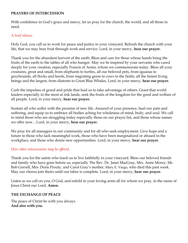#### **PRAYERS OF INTERCESSION**

With confidence in God's grace and mercy, let us pray for the church, the world, and all those in need.

### *A brief silence.*

Holy God, you call us to work for peace and justice in your vineyard. Refresh the church with your life, that we may bear fruit through work and service. Lord, in your mercy, **hear our prayer.**

Thank you for the abundant harvest of the earth. Bless and care for those whose hands bring the fruits of the earth to the tables of all who hunger. May we be inspired by your servants who cared deeply for your creation, especially Francis of Assisi, whom we commemorate today*.* Bless all your creatures, great and small, from elephants to turtles, all our beloved pets, from iguanas to greyhounds, all flocks and herds, from migrating geese to cows in the fields, all the tiniest living beings and the largest, from diatoms to Great Blue Whales, Lord, in your mercy, **hear our prayer.**

Curb the impulses of greed and pride that lead us to take advantage of others. Grant that world leaders especially in the most at risk lands, seek the fruits of the kingdom for the good and welfare of all people. Lord, in your mercy, **hear our prayer.**

Sustain all who suffer with the promise of new life. Assured of your presence, heal our pain and suffering, and equip us to embrace all bodies aching for wholeness of mind, body, and soul. We call to mind those who are struggling today especially those on our prayer list, and those whose names we offer now…Lord, in your mercy, **hear our prayer.**

We pray for all managers in our community and for all who seek employment. Give hope and a future to those who lack meaningful work, those who have been marginalized or abused in the workplace, and those who desire new opportunities. Lord, in your mercy, **hear our prayer.**

### *Here other intercessions may be offered.*

Thank you for the saints who teach us to live faithfully in your vineyard. Bless our beloved friends and family who have gone before us, especially The Rev. Dr. Janet MacGray, Mrs. Anne Morey, Mr. Bob Gorrell, Mrs. Doris Prouty, and Carol Gray's mother, Mary E. Vargo, who died this past week. May our chorus join theirs until our labor is complete. Lord, in your mercy, **hear our prayer.**

Listen as we call on you, O God, and enfold in your loving arms all for whom we pray, in the name of Jesus Christ our Lord. **Amen.**

#### **THE EXCHANGE OF PEACE**

The peace of Christ be with you always. **And also with you.**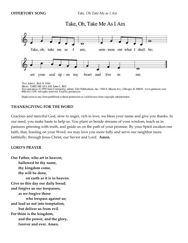**OFFERTORY SONG** *Take, Oh Take Me as I Am*

## Take, Oh, Take Me As I Am



Duplication in any form prohibited without permission or valid license from copyright administrator.

#### **THANKSGIVING FOR THE WORD**

Gracious and merciful God, slow to anger, rich in love, we bless your name and give you thanks. In our need, you make haste to help us. You plant us beside streams of your wisdom, teach us in pastures greening with truth, and guide us on the path of your promise. By your Spirit awaken our faith, that, feasting on your Word, we may love you more fully and serve our neighbor more faithfully; through Jesus Christ, our Savior and Lord. **Amen.**

#### **LORD'S PRAYER**

**Our Father, who art in heaven, hallowed be thy name, thy kingdom come, thy will be done, on earth as it is in heaven. Give us this day our daily bread; and forgive us our trespasses, as we forgive those who trespass against us; and lead us not into temptation, but deliver us from evil. For thine is the kingdom, and the power, and the glory, forever and ever. Amen.**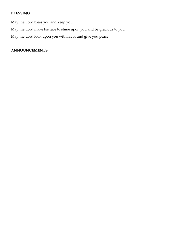### **BLESSING**

May the Lord bless you and keep you,

May the Lord make his face to shine upon you and be gracious to you.

May the Lord look upon you with favor and give you peace.

### **ANNOUNCEMENTS**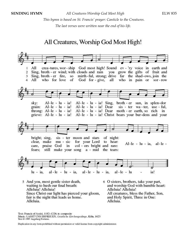*This hymn is based on St. Francis' prayer: Canticle to the Creatures. The last verses were written near the end of his life.* 

# All Creatures, Worship God Most High!



Alleluia.

Text: Francis of Assisi, 1182-1226; tr. composite Music: LASST UNS ERFREUEN, Geistliche Kirchengesänge, Köln, 1623 Text © 1997 Augsburg Fortress.

Alleluia.

Duplication in any form prohibited without permission or valid license from copyright administrator.